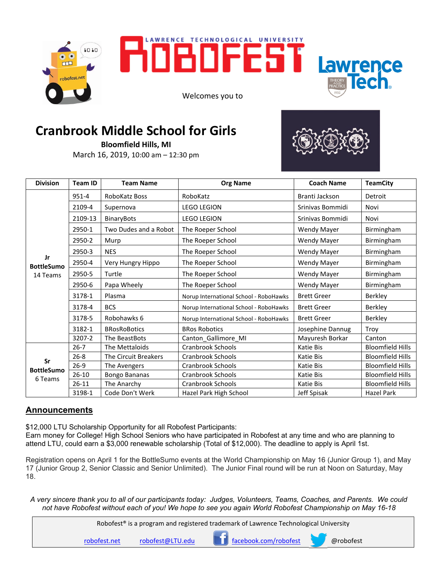



Welcomes you to



## **Cranbrook Middle School for Girls**

**Bloomfield Hills, MI** March 16, 2019, 10:00 am – 12:30 pm



| <b>Division</b>                     | <b>Team ID</b> | <b>Team Name</b>      | <b>Org Name</b>                        | <b>Coach Name</b>  | <b>TeamCity</b>         |
|-------------------------------------|----------------|-----------------------|----------------------------------------|--------------------|-------------------------|
| Jr<br><b>BottleSumo</b><br>14 Teams | $951 - 4$      | RoboKatz Boss         | RoboKatz                               | Branti Jackson     | Detroit                 |
|                                     | 2109-4         | Supernova             | <b>LEGO LEGION</b>                     | Srinivas Bommidi   | Novi                    |
|                                     | 2109-13        | <b>BinaryBots</b>     | <b>LEGO LEGION</b>                     | Srinivas Bommidi   | Novi                    |
|                                     | 2950-1         | Two Dudes and a Robot | The Roeper School                      | <b>Wendy Mayer</b> | Birmingham              |
|                                     | 2950-2         | Murp                  | The Roeper School                      | <b>Wendy Mayer</b> | Birmingham              |
|                                     | 2950-3         | <b>NES</b>            | The Roeper School                      | <b>Wendy Mayer</b> | Birmingham              |
|                                     | 2950-4         | Very Hungry Hippo     | The Roeper School                      | <b>Wendy Mayer</b> | Birmingham              |
|                                     | 2950-5         | Turtle                | The Roeper School                      | <b>Wendy Mayer</b> | Birmingham              |
|                                     | 2950-6         | Papa Wheely           | The Roeper School                      | Wendy Mayer        | Birmingham              |
|                                     | 3178-1         | Plasma                | Norup International School - RoboHawks | <b>Brett Greer</b> | Berkley                 |
|                                     | 3178-4         | <b>BCS</b>            | Norup International School - RoboHawks | <b>Brett Greer</b> | Berkley                 |
|                                     | 3178-5         | Robohawks 6           | Norup International School - RoboHawks | <b>Brett Greer</b> | Berkley                 |
|                                     | 3182-1         | <b>BRosRoBotics</b>   | <b>BRos Robotics</b>                   | Josephine Dannug   | Troy                    |
|                                     | 3207-2         | The BeastBots         | Canton Gallimore MI                    | Mayuresh Borkar    | Canton                  |
| Sr<br><b>BottleSumo</b><br>6 Teams  | $26 - 7$       | The Mettaloids        | Cranbrook Schools                      | Katie Bis          | <b>Bloomfield Hills</b> |
|                                     | $26 - 8$       | The Circuit Breakers  | Cranbrook Schools                      | Katie Bis          | <b>Bloomfield Hills</b> |
|                                     | $26-9$         | The Avengers          | Cranbrook Schools                      | Katie Bis          | <b>Bloomfield Hills</b> |
|                                     | $26-10$        | <b>Bongo Bananas</b>  | Cranbrook Schools                      | Katie Bis          | <b>Bloomfield Hills</b> |
|                                     | $26 - 11$      | The Anarchy           | Cranbrook Schools                      | Katie Bis          | <b>Bloomfield Hills</b> |
|                                     | 3198-1         | Code Don't Werk       | Hazel Park High School                 | Jeff Spisak        | Hazel Park              |

## **Announcements**

\$12,000 LTU Scholarship Opportunity for all Robofest Participants:

Earn money for College! High School Seniors who have participated in Robofest at any time and who are planning to attend LTU, could earn a \$3,000 renewable scholarship (Total of \$12,000). The deadline to apply is April 1st.

Registration opens on April 1 for the BottleSumo events at the World Championship on May 16 (Junior Group 1), and May 17 (Junior Group 2, Senior Classic and Senior Unlimited). The Junior Final round will be run at Noon on Saturday, May 18.

*A very sincere thank you to all of our participants today: Judges, Volunteers, Teams, Coaches, and Parents. We could not have Robofest without each of you! We hope to see you again World Robofest Championship on May 16-18* 

| Robofest <sup>®</sup> is a program and registered trademark of Lawrence Technological University |                  |                       |           |
|--------------------------------------------------------------------------------------------------|------------------|-----------------------|-----------|
| robofest.net                                                                                     | robofest@LTU.edu | facebook.com/robofest | @robofest |